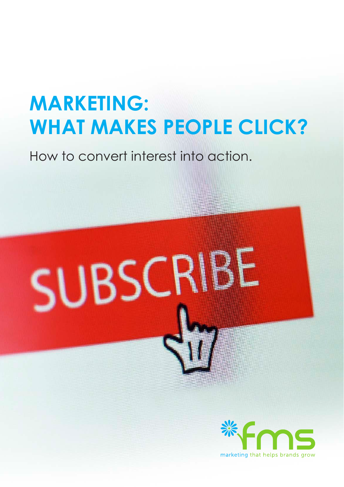# **MARKETING: WHAT MAKES PEOPLE CLICK?**

## How to convert interest into action.

# SUBSCRI

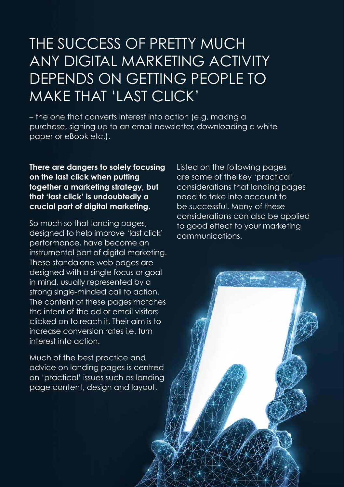# THE SUCCESS OF PRETTY MUCH ANY DIGITAL MARKETING ACTIVITY DEPENDS ON GETTING PEOPLE TO MAKE THAT 'LAST CLICK'

– the one that converts interest into action (e.g. making a purchase, signing up to an email newsletter, downloading a white paper or eBook etc.).

**There are dangers to solely focusing on the last click when putting together a marketing strategy, but that 'last click' is undoubtedly a crucial part of digital marketing.** 

So much so that landing pages, designed to help improve 'last click' performance, have become an instrumental part of digital marketing. These standalone web pages are designed with a single focus or goal in mind, usually represented by a strong single-minded call to action. The content of these pages matches the intent of the ad or email visitors clicked on to reach it. Their aim is to increase conversion rates i.e. turn interest into action.

Much of the best practice and advice on landing pages is centred on 'practical' issues such as landing page content, design and layout.

Listed on the following pages are some of the key 'practical' considerations that landing pages need to take into account to be successful. Many of these considerations can also be applied to good effect to your marketing communications.

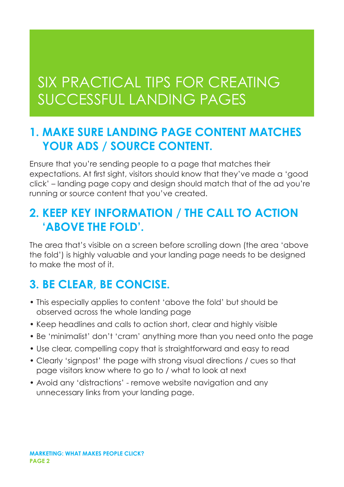# SIX PRACTICAL TIPS FOR CREATING SUCCESSFUL LANDING PAGES

### **1. MAKE SURE LANDING PAGE CONTENT MATCHES YOUR ADS / SOURCE CONTENT.**

Ensure that you're sending people to a page that matches their expectations. At first sight, visitors should know that they've made a 'aood click' – landing page copy and design should match that of the ad you're running or source content that you've created.

### **2. KEEP KEY INFORMATION / THE CALL TO ACTION 'ABOVE THE FOLD'.**

The area that's visible on a screen before scrolling down (the area 'above the fold') is highly valuable and your landing page needs to be designed to make the most of it.

### **3. BE CLEAR, BE CONCISE.**

- This especially applies to content 'above the fold' but should be observed across the whole landing page
- Keep headlines and calls to action short, clear and highly visible
- Be 'minimalist' don't 'cram' anything more than you need onto the page
- Use clear, compelling copy that is straightforward and easy to read
- Clearly 'signpost' the page with strong visual directions / cues so that page visitors know where to go to / what to look at next
- Avoid any 'distractions' remove website navigation and any unnecessary links from your landing page.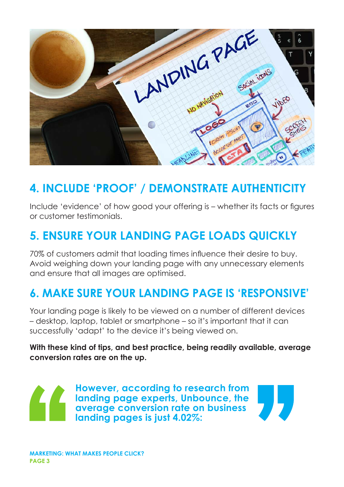

### **4. INCLUDE 'PROOF' / DEMONSTRATE AUTHENTICITY**

Include 'evidence' of how good your offering is – whether its facts or figures or customer testimonials.

### **5. ENSURE YOUR LANDING PAGE LOADS QUICKLY**

70% of customers admit that loading times influence their desire to buy. Avoid weighing down your landing page with any unnecessary elements and ensure that all images are optimised.

### **6. MAKE SURE YOUR LANDING PAGE IS 'RESPONSIVE'**

Your landing page is likely to be viewed on a number of different devices – desktop, laptop, tablet or smartphone – so it's important that it can successfully 'adapt' to the device it's being viewed on.

**With these kind of tips, and best practice, being readily available, average conversion rates are on the up.**

> **However, according to research from landing page experts, Unbounce, the average conversion rate on business landing pages is just 4.02%:**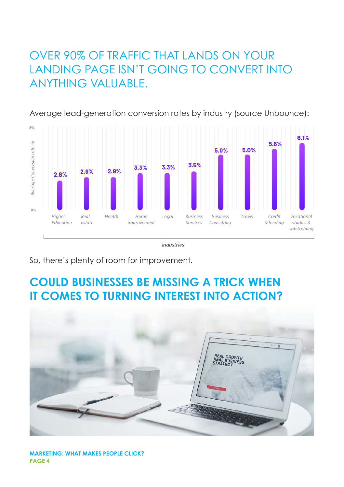### OVER 90% OF TRAFFIC THAT LANDS ON YOUR LANDING PAGE ISN'T GOING TO CONVERT INTO ANYTHING VALUABLE.

 $8%$ 6.1% s. 5.6% Average Conversion rate 5.0% 5.0% 3.5% 3.3%  $3.3%$  $2.9%$  $2.9%$  $2.6%$  $0%$ Higher Real Health Legal Travel Credit Vocational Home **Business Business** Education estate improvement Services Consulting & lending studies & Job training

Average lead-generation conversion rates by industry (source Unbounce):

Industries

So, there's plenty of room for improvement.

### **COULD BUSINESSES BE MISSING A TRICK WHEN IT COMES TO TURNING INTEREST INTO ACTION?**

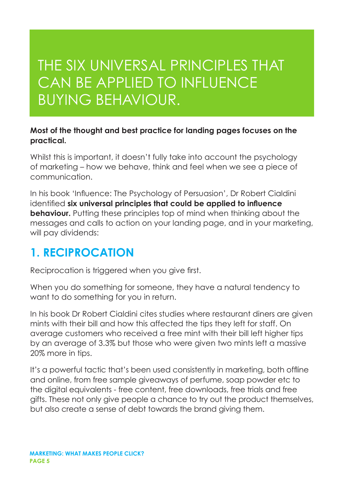# THE SIX UNIVERSAL PRINCIPLES THAT CAN BE APPLIED TO INFLUENCE BUYING BEHAVIOUR.

### **Most of the thought and best practice for landing pages focuses on the practical.**

Whilst this is important, it doesn't fully take into account the psychology of marketing – how we behave, think and feel when we see a piece of communication.

In his book 'Influence: The Psychology of Persuasion', Dr Robert Cialdini identified **six universal principles that could be applied to influence behaviour.** Putting these principles top of mind when thinking about the messages and calls to action on your landing page, and in your marketing, will pay dividends:

### **1. RECIPROCATION**

Reciprocation is triggered when you give first.

When you do something for someone, they have a natural tendency to want to do something for you in return.

In his book Dr Robert Cialdini cites studies where restaurant diners are given mints with their bill and how this affected the tips they left for staff. On average customers who received a free mint with their bill left higher tips by an average of 3.3% but those who were given two mints left a massive 20% more in tips.

It's a powerful tactic that's been used consistently in marketing, both offline and online, from free sample giveaways of perfume, soap powder etc to the digital equivalents - free content, free downloads, free trials and free gifts. These not only give people a chance to try out the product themselves, but also create a sense of debt towards the brand giving them.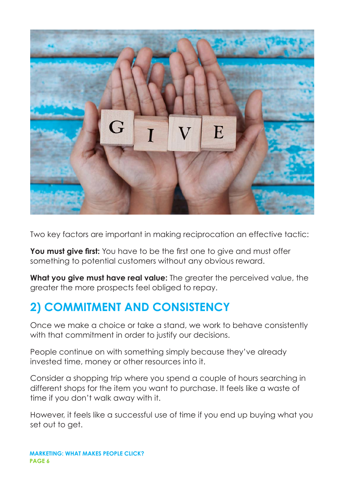

Two key factors are important in making reciprocation an effective tactic:

**You must give first:** You have to be the first one to give and must offer something to potential customers without any obvious reward.

**What you give must have real value:** The greater the perceived value, the greater the more prospects feel obliged to repay.

### **2) COMMITMENT AND CONSISTENCY**

Once we make a choice or take a stand, we work to behave consistently with that commitment in order to justify our decisions.

People continue on with something simply because they've already invested time, money or other resources into it.

Consider a shopping trip where you spend a couple of hours searching in different shops for the item you want to purchase. It feels like a waste of time if you don't walk away with it.

However, it feels like a successful use of time if you end up buying what you set out to get.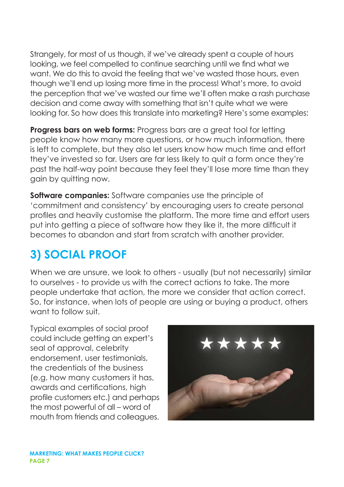Strangely, for most of us though, if we've already spent a couple of hours looking, we feel compelled to continue searching until we find what we want. We do this to avoid the feeling that we've wasted those hours, even though we'll end up losing more time in the process! What's more, to avoid the perception that we've wasted our time we'll often make a rash purchase decision and come away with something that isn't quite what we were looking for. So how does this translate into marketing? Here's some examples:

**Progress bars on web forms:** Progress bars are a great tool for letting people know how many more questions, or how much information, there is left to complete, but they also let users know how much time and effort they've invested so far. Users are far less likely to quit a form once they're past the half-way point because they feel they'll lose more time than they gain by quitting now.

**Software companies:** Software companies use the principle of 'commitment and consistency' by encouraging users to create personal profiles and heavily customise the platform. The more time and effort users put into getting a piece of software how they like it, the more difficult it becomes to abandon and start from scratch with another provider.

### **3) SOCIAL PROOF**

When we are unsure, we look to others - usually (but not necessarily) similar to ourselves - to provide us with the correct actions to take. The more people undertake that action, the more we consider that action correct. So, for instance, when lots of people are using or buying a product, others want to follow suit.

Typical examples of social proof could include getting an expert's seal of approval, celebrity endorsement, user testimonials, the credentials of the business (e.g. how many customers it has, awards and certifications, high profile customers etc.) and perhaps the most powerful of all – word of mouth from friends and colleagues.

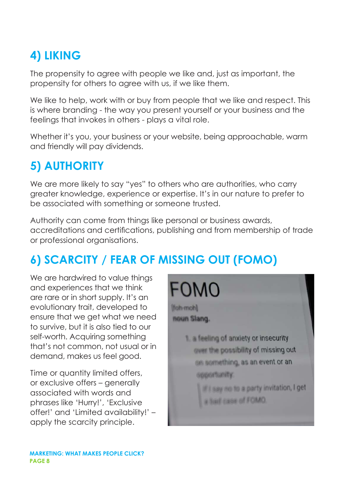### **4) LIKING**

The propensity to agree with people we like and, just as important, the propensity for others to agree with us, if we like them.

We like to help, work with or buy from people that we like and respect. This is where branding - the way you present yourself or your business and the feelings that invokes in others - plays a vital role.

Whether it's you, your business or your website, being approachable, warm and friendly will pay dividends.

### **5) AUTHORITY**

We are more likely to say "yes" to others who are authorities, who carry greater knowledge, experience or expertise. It's in our nature to prefer to be associated with something or someone trusted.

Authority can come from things like personal or business awards, accreditations and certifications, publishing and from membership of trade or professional organisations.

# **6) SCARCITY / FEAR OF MISSING OUT (FOMO)**

We are hardwired to value things and experiences that we think are rare or in short supply. It's an evolutionary trait, developed to ensure that we get what we need to survive, but it is also tied to our self-worth. Acquiring something that's not common, not usual or in demand, makes us feel good.

Time or quantity limited offers, or exclusive offers – generally associated with words and phrases like 'Hurry!', 'Exclusive offer!' and 'Limited availability!' – apply the scarcity principle.

**FOMO** fon-moh) noun Slang. 1. a feeling of anxiety or insecurity over the possibility of missing out on something, as an event or an *<u>GOGGETLANDY</u>* If I say no to a party invitation, I get a had case of FOMO.